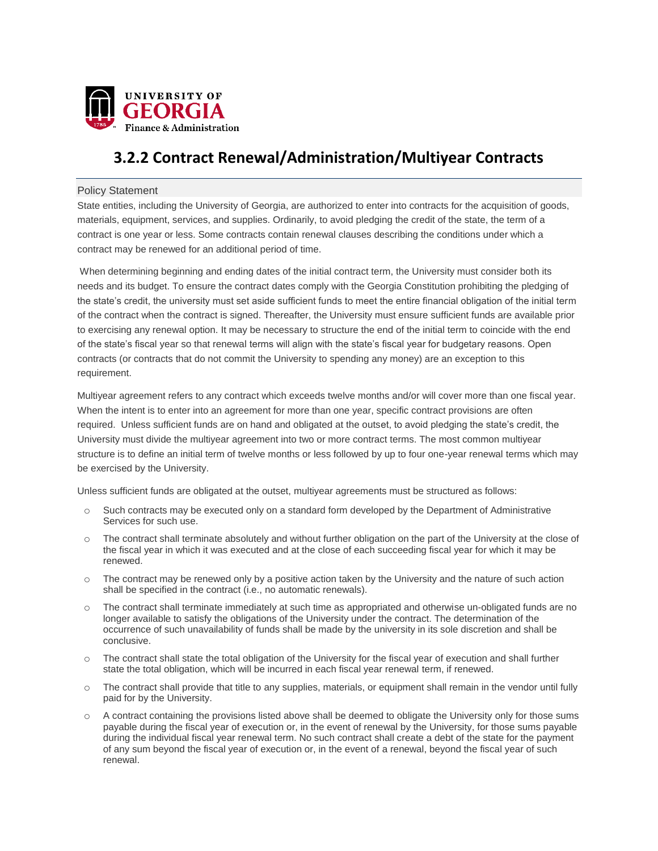

# **3.2.2 Contract Renewal/Administration/Multiyear Contracts**

### Policy Statement

State entities, including the University of Georgia, are authorized to enter into contracts for the acquisition of goods, materials, equipment, services, and supplies. Ordinarily, to avoid pledging the credit of the state, the term of a contract is one year or less. Some contracts contain renewal clauses describing the conditions under which a contract may be renewed for an additional period of time.

When determining beginning and ending dates of the initial contract term, the University must consider both its needs and its budget. To ensure the contract dates comply with the Georgia Constitution prohibiting the pledging of the state's credit, the university must set aside sufficient funds to meet the entire financial obligation of the initial term of the contract when the contract is signed. Thereafter, the University must ensure sufficient funds are available prior to exercising any renewal option. It may be necessary to structure the end of the initial term to coincide with the end of the state's fiscal year so that renewal terms will align with the state's fiscal year for budgetary reasons. Open contracts (or contracts that do not commit the University to spending any money) are an exception to this requirement.

Multiyear agreement refers to any contract which exceeds twelve months and/or will cover more than one fiscal year. When the intent is to enter into an agreement for more than one year, specific contract provisions are often required. Unless sufficient funds are on hand and obligated at the outset, to avoid pledging the state's credit, the University must divide the multiyear agreement into two or more contract terms. The most common multiyear structure is to define an initial term of twelve months or less followed by up to four one-year renewal terms which may be exercised by the University.

Unless sufficient funds are obligated at the outset, multiyear agreements must be structured as follows:

- o Such contracts may be executed only on a standard form developed by the Department of Administrative Services for such use.
- o The contract shall terminate absolutely and without further obligation on the part of the University at the close of the fiscal year in which it was executed and at the close of each succeeding fiscal year for which it may be renewed.
- $\circ$  The contract may be renewed only by a positive action taken by the University and the nature of such action shall be specified in the contract (i.e., no automatic renewals).
- o The contract shall terminate immediately at such time as appropriated and otherwise un-obligated funds are no longer available to satisfy the obligations of the University under the contract. The determination of the occurrence of such unavailability of funds shall be made by the university in its sole discretion and shall be conclusive.
- $\circ$  The contract shall state the total obligation of the University for the fiscal year of execution and shall further state the total obligation, which will be incurred in each fiscal year renewal term, if renewed.
- o The contract shall provide that title to any supplies, materials, or equipment shall remain in the vendor until fully paid for by the University.
- o A contract containing the provisions listed above shall be deemed to obligate the University only for those sums payable during the fiscal year of execution or, in the event of renewal by the University, for those sums payable during the individual fiscal year renewal term. No such contract shall create a debt of the state for the payment of any sum beyond the fiscal year of execution or, in the event of a renewal, beyond the fiscal year of such renewal.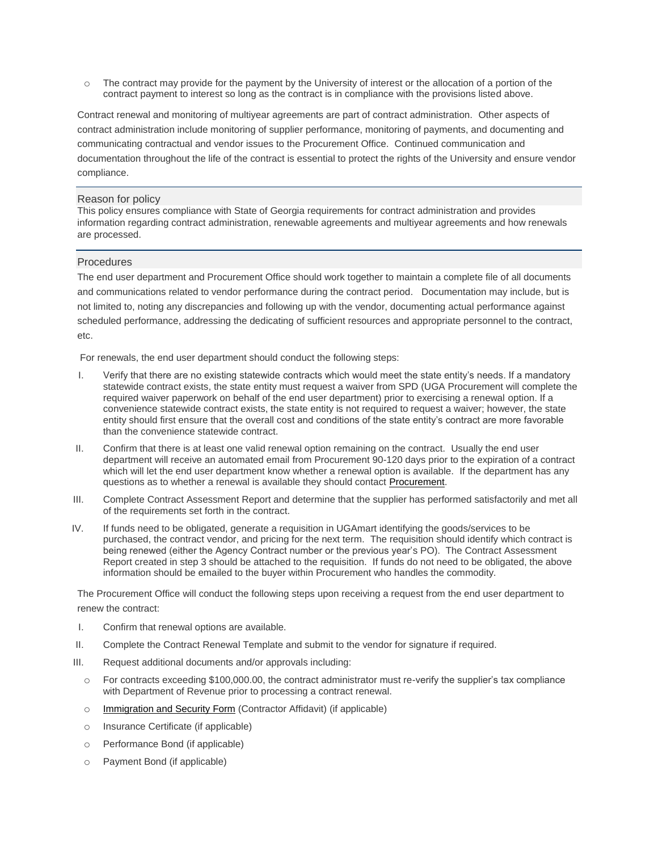o The contract may provide for the payment by the University of interest or the allocation of a portion of the contract payment to interest so long as the contract is in compliance with the provisions listed above.

Contract renewal and monitoring of multiyear agreements are part of contract administration. Other aspects of contract administration include monitoring of supplier performance, monitoring of payments, and documenting and communicating contractual and vendor issues to the Procurement Office. Continued communication and documentation throughout the life of the contract is essential to protect the rights of the University and ensure vendor compliance.

#### Reason for policy

This policy ensures compliance with State of Georgia requirements for contract administration and provides information regarding contract administration, renewable agreements and multiyear agreements and how renewals are processed.

#### **Procedures**

The end user department and Procurement Office should work together to maintain a complete file of all documents and communications related to vendor performance during the contract period. Documentation may include, but is not limited to, noting any discrepancies and following up with the vendor, documenting actual performance against scheduled performance, addressing the dedicating of sufficient resources and appropriate personnel to the contract, etc.

For renewals, the end user department should conduct the following steps:

- I. Verify that there are no existing statewide contracts which would meet the state entity's needs. If a mandatory statewide contract exists, the state entity must request a waiver from SPD (UGA Procurement will complete the required waiver paperwork on behalf of the end user department) prior to exercising a renewal option. If a convenience statewide contract exists, the state entity is not required to request a waiver; however, the state entity should first ensure that the overall cost and conditions of the state entity's contract are more favorable than the convenience statewide contract.
- II. Confirm that there is at least one valid renewal option remaining on the contract. Usually the end user department will receive an automated email from Procurement 90-120 days prior to the expiration of a contract which will let the end user department know whether a renewal option is available. If the department has any questions as to whether a renewal is available they should contact [Procurement.](http://www.busfin.uga.edu/procurement/prostaff.htm)
- III. Complete Contract Assessment Report and determine that the supplier has performed satisfactorily and met all of the requirements set forth in the contract.
- IV. If funds need to be obligated, generate a requisition in UGAmart identifying the goods/services to be purchased, the contract vendor, and pricing for the next term. The requisition should identify which contract is being renewed (either the Agency Contract number or the previous year's PO). The Contract Assessment Report created in step 3 should be attached to the requisition. If funds do not need to be obligated, the above information should be emailed to the buyer within Procurement who handles the commodity.

The Procurement Office will conduct the following steps upon receiving a request from the end user department to renew the contract:

- I. Confirm that renewal options are available.
- II. Complete the Contract Renewal Template and submit to the vendor for signature if required.
- III. Request additional documents and/or approvals including:
	- o For contracts exceeding \$100,000.00, the contract administrator must re-verify the supplier's tax compliance with Department of Revenue prior to processing a contract renewal.
	- o [Immigration](http://doas.ga.gov/StateLocal/SPD/Seven/Pages/Home.aspx) and Security Form (Contractor Affidavit) (if applicable)
	- o Insurance Certificate (if applicable)
	- o Performance Bond (if applicable)
	- o Payment Bond (if applicable)